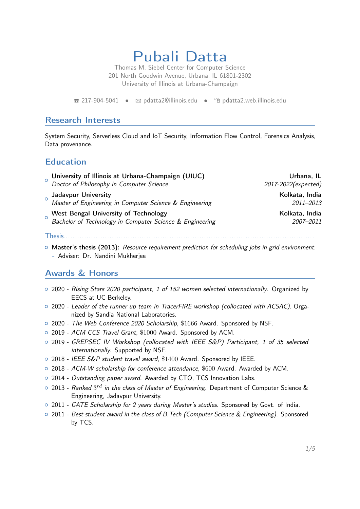Pubali Datta

Thomas M. Siebel Center for Computer Science 201 North Goodwin Avenue, Urbana, IL 61801-2302 University of Illinois at Urbana-Champaign

 $\hat{z}$  [217-904-5041](tel:2179045041) •  $\hat{z}$  [pdatta2@illinois.edu](mailto:pdatta2@illinois.edu) •  $\hat{z}$  [pdatta2.web.illinois.edu](https://pdatta2.web.illinois.edu)

### Research Interests

System Security, Serverless Cloud and IoT Security, Information Flow Control, Forensics Analysis, Data provenance.

### Education

| $\Omega$ | University of Illinois at Urbana-Champaign (UIUC)<br>Doctor of Philosophy in Computer Science    | Urbana, IL                  |
|----------|--------------------------------------------------------------------------------------------------|-----------------------------|
|          |                                                                                                  | 2017-2022(expected)         |
|          | Jadavpur University<br>Master of Engineering in Computer Science & Engineering                   | Kolkata, India<br>2011-2013 |
|          | West Bengal University of Technology<br>Bachelor of Technology in Computer Science & Engineering | Kolkata, India<br>2007-2011 |
|          | Thesis <b>Thesis</b>                                                                             |                             |

o Master's thesis (2013): Resource requirement prediction for scheduling jobs in grid environment.

# - Adviser: Dr. Nandini Mukherjee

## Awards & Honors

- o 2020 Rising Stars 2020 participant, 1 of 152 women selected internationally. Organized by EECS at UC Berkeley.
- $\circ$  2020 Leader of the runner up team in TracerFIRE workshop (collocated with ACSAC). Organized by Sandia National Laboratories.
- o 2020 The Web Conference 2020 Scholarship, \$1666 Award. Sponsored by NSF.
- $\circ$  2019 ACM CCS Travel Grant, \$1000 Award. Sponsored by ACM.
- { 2019 GREPSEC IV Workshop (collocated with IEEE S&P) Participant, 1 of 35 selected internationally. Supported by NSF.
- { 2018 IEEE S&P student travel award, \$1400 Award. Sponsored by IEEE.
- o 2018 ACM-W scholarship for conference attendance, \$600 Award. Awarded by ACM.
- o 2014 Outstanding paper award. Awarded by CTO, TCS Innovation Labs.
- $\circ$  2013 *Ranked*  $3^{rd}$  *in the class of Master of Engineering*. Department of Computer Science & Engineering, Jadavpur University.
- $\circ$  2011 GATE Scholarship for 2 years during Master's studies. Sponsored by Govt. of India.
- 2011 Best student award in the class of B.Tech (Computer Science & Engineering). Sponsored by TCS.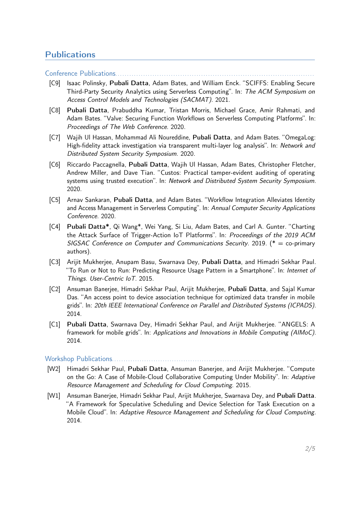### **Publications**

Conference Publications...

- [C9] Isaac Polinsky, Pubali Datta, Adam Bates, and William Enck. "SCIFFS: Enabling Secure Third-Party Security Analytics using Serverless Computing". In: The ACM Symposium on Access Control Models and Technologies (SACMAT). 2021.
- [C8] Pubali Datta, Prabuddha Kumar, Tristan Morris, Michael Grace, Amir Rahmati, and Adam Bates. "Valve: Securing Function Workflows on Serverless Computing Platforms". In: Proceedings of The Web Conference. 2020.
- [C7] Wajih Ul Hassan, Mohammad Ali Noureddine, Pubali Datta, and Adam Bates. "OmegaLog: High-fidelity attack investigation via transparent multi-layer log analysis". In: Network and Distributed System Security Symposium. 2020.
- [C6] Riccardo Paccagnella, Pubali Datta, Wajih Ul Hassan, Adam Bates, Christopher Fletcher, Andrew Miller, and Dave Tian. "Custos: Practical tamper-evident auditing of operating systems using trusted execution". In: Network and Distributed System Security Symposium. 2020.
- [C5] Arnav Sankaran, Pubali Datta, and Adam Bates. "Workflow Integration Alleviates Identity and Access Management in Serverless Computing". In: Annual Computer Security Applications Conference. 2020.
- [C4] Pubali Datta\*, Qi Wang\*, Wei Yang, Si Liu, Adam Bates, and Carl A. Gunter. "Charting the Attack Surface of Trigger-Action IoT Platforms". In: Proceedings of the 2019 ACM SIGSAC Conference on Computer and Communications Security. 2019. ( $* =$  co-primary authors).
- [C3] Arijit Mukherjee, Anupam Basu, Swarnava Dey, Pubali Datta, and Himadri Sekhar Paul. "To Run or Not to Run: Predicting Resource Usage Pattern in a Smartphone". In: Internet of Things. User-Centric IoT. 2015.
- [C2] Ansuman Banerjee, Himadri Sekhar Paul, Arijit Mukherjee, Pubali Datta, and Sajal Kumar Das. "An access point to device association technique for optimized data transfer in mobile grids". In: 20th IEEE International Conference on Parallel and Distributed Systems (ICPADS). 2014.
- [C1] Pubali Datta, Swarnava Dey, Himadri Sekhar Paul, and Arijit Mukherjee. "ANGELS: A framework for mobile grids". In: Applications and Innovations in Mobile Computing (AIMoC). 2014.

### Workshop Publications. . . . . . . . . . . . . . . . . . . . . . . . . . . . . . . . . . . . . . . . . . . . . . . . . . . . . . . . . . . . . . . . . . . . . . . . . . . . . . . . . . . . . . . .

- [W2] Himadri Sekhar Paul, Pubali Datta, Ansuman Banerjee, and Arijit Mukherjee. "Compute on the Go: A Case of Mobile-Cloud Collaborative Computing Under Mobility". In: Adaptive Resource Management and Scheduling for Cloud Computing. 2015.
- [W1] Ansuman Banerjee, Himadri Sekhar Paul, Arijit Mukherjee, Swarnava Dey, and Pubali Datta. "A Framework for Speculative Scheduling and Device Selection for Task Execution on a Mobile Cloud". In: Adaptive Resource Management and Scheduling for Cloud Computing. 2014.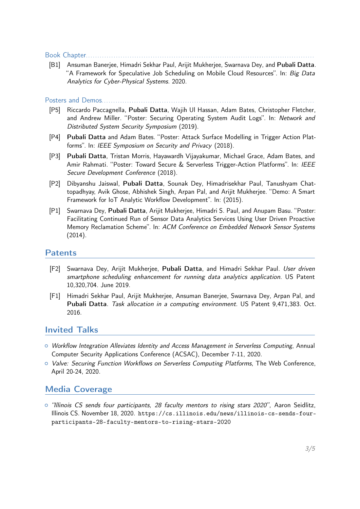Book Chapter. . . . . . . . . . . . . . . . . . . . . . . . . . . . . . . . . . . . . . . . . . . . . . . . . . . . . . . . . . . . . . . . . . . . . . . . . . . . . . . . . . . . . . . . . . . . . . . . . . .

[B1] Ansuman Banerjee, Himadri Sekhar Paul, Arijit Mukherjee, Swarnava Dey, and Pubali Datta. "A Framework for Speculative Job Scheduling on Mobile Cloud Resources". In: Big Data Analytics for Cyber-Physical Systems. 2020.

Posters and Demos. . . . . . . . . . . . . . . . . . . . . . . . . . . . . . . . . . . . . . . . . . . . . . . . . . . . . . . . . . . . . . . . . . . . . . . . . . . . . . . . . . . . . . . . . . . .

- [P5] Riccardo Paccagnella, Pubali Datta, Wajih Ul Hassan, Adam Bates, Christopher Fletcher, and Andrew Miller. "Poster: Securing Operating System Audit Logs". In: Network and Distributed System Security Symposium (2019).
- [P4] Pubali Datta and Adam Bates. "Poster: Attack Surface Modelling in Trigger Action Platforms". In: IEEE Symposium on Security and Privacy (2018).
- [P3] Pubali Datta, Tristan Morris, Hayawardh Vijayakumar, Michael Grace, Adam Bates, and Amir Rahmati. "Poster: Toward Secure & Serverless Trigger-Action Platforms". In: IEEE Secure Development Conference (2018).
- [P2] Dibyanshu Jaiswal, Pubali Datta, Sounak Dey, Himadrisekhar Paul, Tanushyam Chattopadhyay, Avik Ghose, Abhishek Singh, Arpan Pal, and Arijit Mukherjee. "Demo: A Smart Framework for IoT Analytic Workflow Development". In: (2015).
- [P1] Swarnava Dey, Pubali Datta, Arijit Mukherjee, Himadri S. Paul, and Anupam Basu. "Poster: Facilitating Continued Run of Sensor Data Analytics Services Using User Driven Proactive Memory Reclamation Scheme". In: ACM Conference on Embedded Network Sensor Systems (2014).

### **Patents**

- [F2] Swarnava Dey, Arijit Mukherjee, Pubali Datta, and Himadri Sekhar Paul. User driven smartphone scheduling enhancement for running data analytics application. US Patent 10,320,704. June 2019.
- [F1] Himadri Sekhar Paul, Arijit Mukherjee, Ansuman Banerjee, Swarnava Dey, Arpan Pal, and Pubali Datta. Task allocation in a computing environment. US Patent 9,471,383. Oct. 2016.

### Invited Talks

- $\circ$  Workflow Integration Alleviates Identity and Access Management in Serverless Computing, Annual Computer Security Applications Conference (ACSAC), December 7-11, 2020.
- <sup>o</sup> Valve: Securing Function Workflows on Serverless Computing Platforms, The Web Conference, April 20-24, 2020.

### Media Coverage

 $\circ$  "Illinois CS sends four participants, 28 faculty mentors to rising stars 2020", Aaron Seidlitz, Illinois CS. November 18, 2020. [https://cs.illinois.edu/news/illinois-cs-sends-four](https://cs.illinois.edu/news/illinois-cs-sends-four-participants-28-faculty-mentors-to-rising-stars-2020)[participants-28-faculty-mentors-to-rising-stars-2020](https://cs.illinois.edu/news/illinois-cs-sends-four-participants-28-faculty-mentors-to-rising-stars-2020)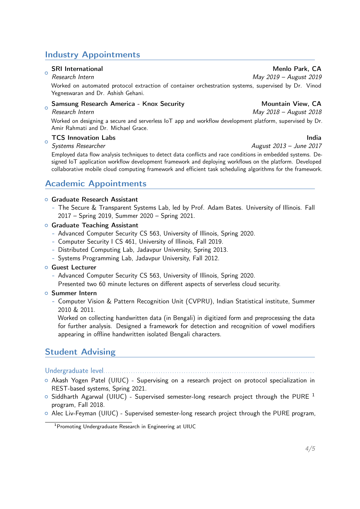## Industry Appointments

### $\alpha$ SRI International Menlo Park, CA

### Research Intern May 2019 – August 2019

Worked on automated protocol extraction of container orchestration systems, supervised by Dr. Vinod Yegneswaran and Dr. Ashish Gehani.

### Samsung Research America - Knox Security Mountain View, CA

### $\circ$ Research Intern May 2018 – August 2018

Worked on designing a secure and serverless IoT app and workflow development platform, supervised by Dr. Amir Rahmati and Dr. Michael Grace.

### $\Omega$ TCS Innovation Labs India

Systems Researcher August 2013 – June 2017

Employed data flow analysis techniques to detect data conflicts and race conditions in embedded systems. Designed IoT application workflow development framework and deploying workflows on the platform. Developed collaborative mobile cloud computing framework and efficient task scheduling algorithms for the framework.

### Academic Appointments

### **O** Graduate Research Assistant

- The Secure & Transparent Systems Lab, led by Prof. Adam Bates. University of Illinois. Fall 2017 – Spring 2019, Summer 2020 – Spring 2021.
- **O** Graduate Teaching Assistant
	- Advanced Computer Security CS 563, University of Illinois, Spring 2020.
	- Computer Security I CS 461, University of Illinois, Fall 2019.
	- Distributed Computing Lab, Jadavpur University, Spring 2013.
	- Systems Programming Lab, Jadavpur University, Fall 2012.
- **o** Guest Lecturer
	- Advanced Computer Security CS 563, University of Illinois, Spring 2020.
	- Presented two 60 minute lectures on different aspects of serverless cloud security.

### **o** Summer Intern

- Computer Vision & Pattern Recognition Unit (CVPRU), Indian Statistical institute, Summer 2010 & 2011.

Worked on collecting handwritten data (in Bengali) in digitized form and preprocessing the data for further analysis. Designed a framework for detection and recognition of vowel modifiers appearing in offline handwritten isolated Bengali characters.

### Student Advising

### Undergraduate level. . . . . . . . . . . . . . . . . . . . . . . . . . . . . . . . . . . . . . . . . . . . . . . . . . . . . . . . . . . . . . . . . . . . . . . . . . . . . . . . . . . . . . . . . . . .

- o Akash Yogen Patel (UIUC) Supervising on a research project on protocol specialization in REST-based systems, Spring 2021.
- $\circ$  Siddharth Agarwal (UIUC) Supervised semester-long research project through the PURE <sup>[1](#page-3-0)</sup> program, Fall 2018.
- $\circ$  Alec Liv-Feyman (UIUC) Supervised semester-long research project through the PURE program,

<span id="page-3-0"></span><sup>1</sup>Promoting Undergraduate Research in Engineering at UIUC